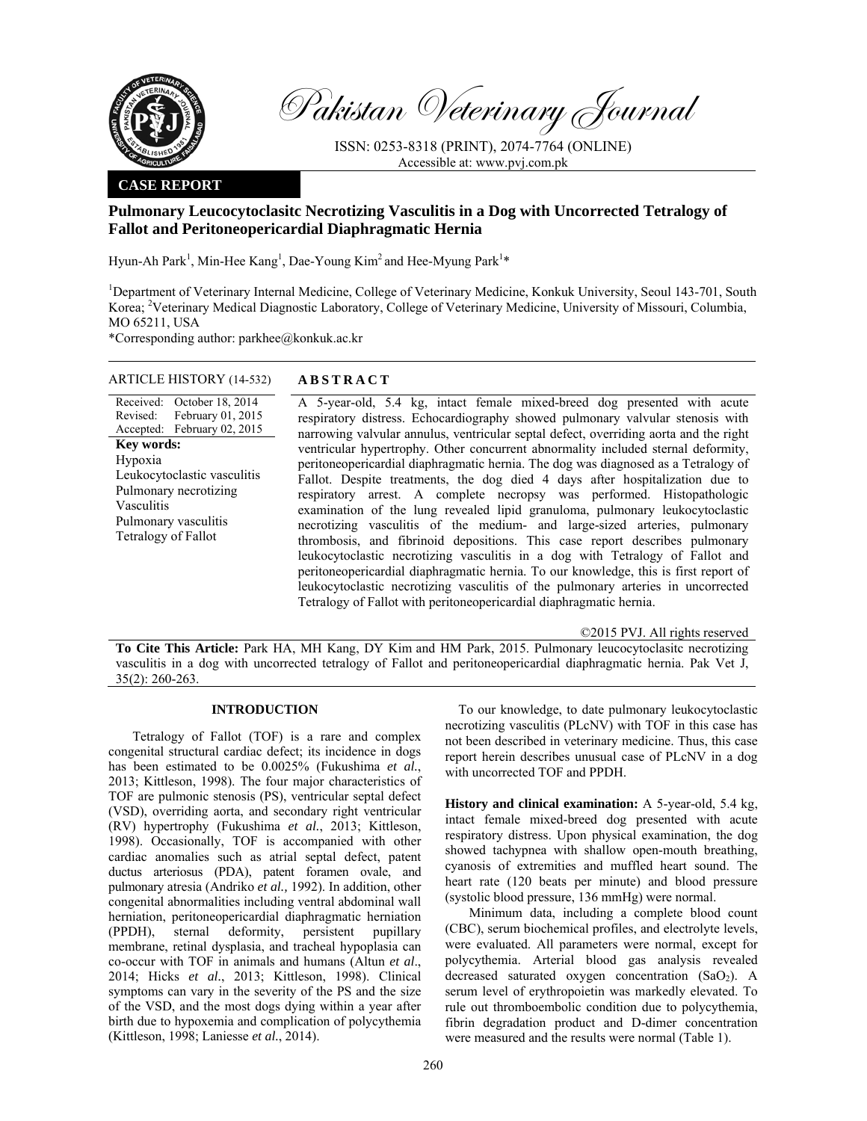

Pakistan Veterinary Journal

ISSN: 0253-8318 (PRINT), 2074-7764 (ONLINE) Accessible at: www.pvj.com.pk

## **CASE REPORT**

# **Pulmonary Leucocytoclasitc Necrotizing Vasculitis in a Dog with Uncorrected Tetralogy of Fallot and Peritoneopericardial Diaphragmatic Hernia**

Hyun-Ah Park<sup>1</sup>, Min-Hee Kang<sup>1</sup>, Dae-Young Kim<sup>2</sup> and Hee-Myung Park<sup>1\*</sup>

<sup>1</sup>Department of Veterinary Internal Medicine, College of Veterinary Medicine, Konkuk University, Seoul 143-701, South Korea; <sup>2</sup>Veterinary Medical Diagnostic Laboratory, College of Veterinary Medicine, University of Missouri, Columbia, MO 65211, USA

\*Corresponding author: parkhee@konkuk.ac.kr

## ARTICLE HISTORY (14-532) **ABSTRACT**

Received: October 18, 2014 Revised: Accepted: February 01, 2015 February 02, 2015 **Key words:**  Hypoxia Leukocytoclastic vasculitis Pulmonary necrotizing Vasculitis Pulmonary vasculitis Tetralogy of Fallot

 A 5-year-old, 5.4 kg, intact female mixed-breed dog presented with acute respiratory distress. Echocardiography showed pulmonary valvular stenosis with narrowing valvular annulus, ventricular septal defect, overriding aorta and the right ventricular hypertrophy. Other concurrent abnormality included sternal deformity, peritoneopericardial diaphragmatic hernia. The dog was diagnosed as a Tetralogy of Fallot. Despite treatments, the dog died 4 days after hospitalization due to respiratory arrest. A complete necropsy was performed. Histopathologic examination of the lung revealed lipid granuloma, pulmonary leukocytoclastic necrotizing vasculitis of the medium- and large-sized arteries, pulmonary thrombosis, and fibrinoid depositions. This case report describes pulmonary leukocytoclastic necrotizing vasculitis in a dog with Tetralogy of Fallot and peritoneopericardial diaphragmatic hernia. To our knowledge, this is first report of leukocytoclastic necrotizing vasculitis of the pulmonary arteries in uncorrected Tetralogy of Fallot with peritoneopericardial diaphragmatic hernia.

©2015 PVJ. All rights reserved

**To Cite This Article:** Park HA, MH Kang, DY Kim and HM Park, 2015. Pulmonary leucocytoclasitc necrotizing vasculitis in a dog with uncorrected tetralogy of Fallot and peritoneopericardial diaphragmatic hernia. Pak Vet J, 35(2): 260-263.

#### **INTRODUCTION**

Tetralogy of Fallot (TOF) is a rare and complex congenital structural cardiac defect; its incidence in dogs has been estimated to be 0.0025% (Fukushima *et al.*, 2013; Kittleson, 1998). The four major characteristics of TOF are pulmonic stenosis (PS), ventricular septal defect (VSD), overriding aorta, and secondary right ventricular (RV) hypertrophy (Fukushima *et al.*, 2013; Kittleson, 1998). Occasionally, TOF is accompanied with other cardiac anomalies such as atrial septal defect, patent ductus arteriosus (PDA), patent foramen ovale, and pulmonary atresia (Andriko *et al.,* 1992). In addition, other congenital abnormalities including ventral abdominal wall herniation, peritoneopericardial diaphragmatic herniation (PPDH), sternal deformity, persistent pupillary membrane, retinal dysplasia, and tracheal hypoplasia can co-occur with TOF in animals and humans (Altun *et al*., 2014; Hicks *et al.*, 2013; Kittleson, 1998). Clinical symptoms can vary in the severity of the PS and the size of the VSD, and the most dogs dying within a year after birth due to hypoxemia and complication of polycythemia (Kittleson, 1998; Laniesse *et al.*, 2014).

To our knowledge, to date pulmonary leukocytoclastic necrotizing vasculitis (PLcNV) with TOF in this case has not been described in veterinary medicine. Thus, this case report herein describes unusual case of PLcNV in a dog with uncorrected TOF and PPDH.

**History and clinical examination:** A 5-year-old, 5.4 kg, intact female mixed-breed dog presented with acute respiratory distress. Upon physical examination, the dog showed tachypnea with shallow open-mouth breathing, cyanosis of extremities and muffled heart sound. The heart rate (120 beats per minute) and blood pressure (systolic blood pressure, 136 mmHg) were normal.

Minimum data, including a complete blood count (CBC), serum biochemical profiles, and electrolyte levels, were evaluated. All parameters were normal, except for polycythemia. Arterial blood gas analysis revealed decreased saturated oxygen concentration  $(SaO<sub>2</sub>)$ . A serum level of erythropoietin was markedly elevated. To rule out thromboembolic condition due to polycythemia, fibrin degradation product and D-dimer concentration were measured and the results were normal (Table 1).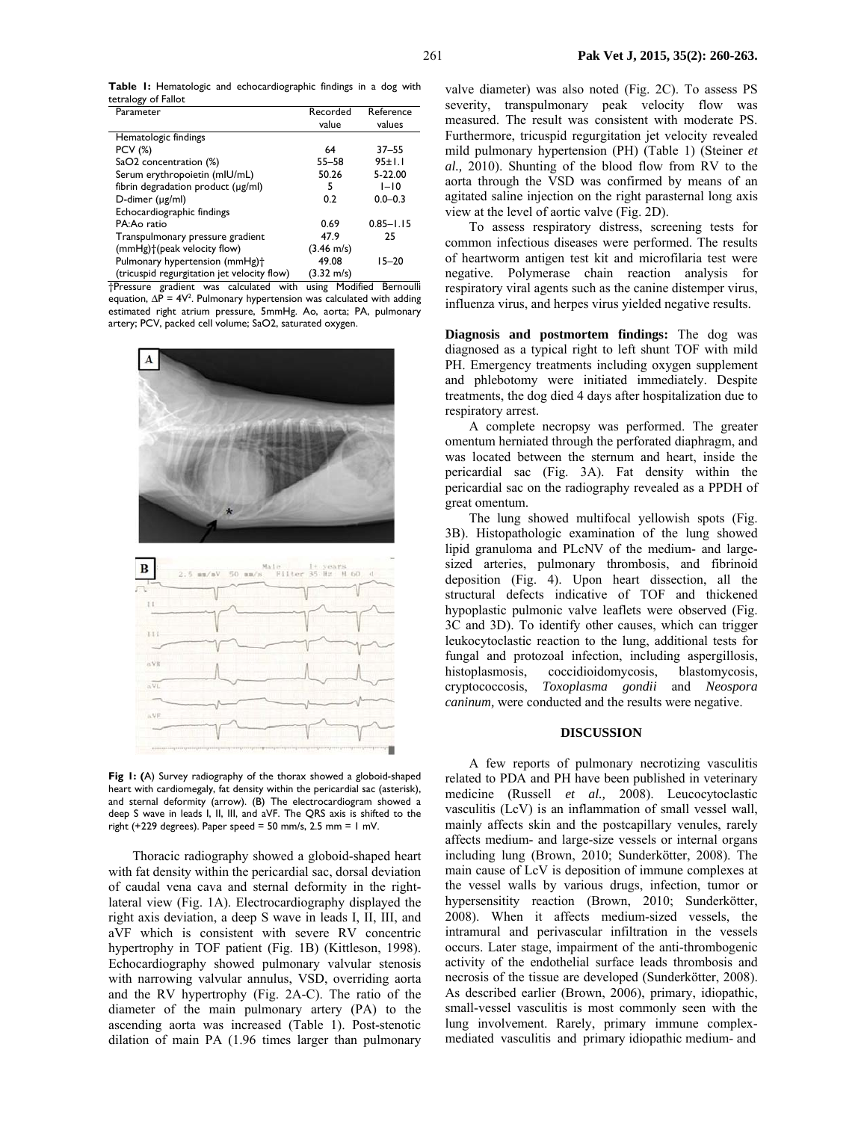**Table 1:** Hematologic and echocardiographic findings in a dog with tetralogy of Fallot

| Parameter                                   | Recorded             | Reference     |
|---------------------------------------------|----------------------|---------------|
|                                             | value                | values        |
| Hematologic findings                        |                      |               |
| <b>PCV (%)</b>                              | 64                   | $37 - 55$     |
| SaO2 concentration (%)                      | $55 - 58$            | 95±1.1        |
| Serum erythropoietin (mIU/mL)               | 50.26                | 5-22.00       |
| fibrin degradation product (µg/ml)          | 5                    | $1 - 10$      |
| D-dimer (µg/ml)                             | 0.2                  | $0.0 - 0.3$   |
| Echocardiographic findings                  |                      |               |
| PA:Ao ratio                                 | 0.69                 | $0.85 - 1.15$ |
| Transpulmonary pressure gradient            | 47.9                 | 25            |
| (mmHg) <sup>+</sup> (peak velocity flow)    | $(3.46 \text{ m/s})$ |               |
| Pulmonary hypertension (mmHg)+              | 49.08                | $15 - 20$     |
| (tricuspid regurgitation jet velocity flow) | $(3.32 \text{ m/s})$ |               |

†Pressure gradient was calculated with using Modified Bernoulli equation,  $\Delta P = 4V^2$ . Pulmonary hypertension was calculated with adding estimated right atrium pressure, 5mmHg. Ao, aorta; PA, pulmonary artery; PCV, packed cell volume; SaO2, saturated oxygen.





Fig I: (A) Survey radiography of the thorax showed a globoid-shaped heart with cardiomegaly, fat density within the pericardial sac (asterisk), and sternal deformity (arrow). (B) The electrocardiogram showed a deep S wave in leads I, II, III, and aVF. The QRS axis is shifted to the right (+229 degrees). Paper speed = 50 mm/s, 2.5 mm = 1 mV.

Thoracic radiography showed a globoid-shaped heart with fat density within the pericardial sac, dorsal deviation of caudal vena cava and sternal deformity in the rightlateral view (Fig. 1A). Electrocardiography displayed the right axis deviation, a deep S wave in leads I, II, III, and aVF which is consistent with severe RV concentric hypertrophy in TOF patient (Fig. 1B) (Kittleson, 1998). Echocardiography showed pulmonary valvular stenosis with narrowing valvular annulus, VSD, overriding aorta and the RV hypertrophy (Fig. 2A-C). The ratio of the diameter of the main pulmonary artery (PA) to the ascending aorta was increased (Table 1). Post-stenotic dilation of main PA (1.96 times larger than pulmonary valve diameter) was also noted (Fig. 2C). To assess PS severity, transpulmonary peak velocity flow was measured. The result was consistent with moderate PS. Furthermore, tricuspid regurgitation jet velocity revealed mild pulmonary hypertension (PH) (Table 1) (Steiner *et al.,* 2010). Shunting of the blood flow from RV to the aorta through the VSD was confirmed by means of an agitated saline injection on the right parasternal long axis view at the level of aortic valve (Fig. 2D).

To assess respiratory distress, screening tests for common infectious diseases were performed. The results of heartworm antigen test kit and microfilaria test were negative. Polymerase chain reaction analysis for respiratory viral agents such as the canine distemper virus, influenza virus, and herpes virus yielded negative results.

**Diagnosis and postmortem findings:** The dog was diagnosed as a typical right to left shunt TOF with mild PH. Emergency treatments including oxygen supplement and phlebotomy were initiated immediately. Despite treatments, the dog died 4 days after hospitalization due to respiratory arrest.

A complete necropsy was performed. The greater omentum herniated through the perforated diaphragm, and was located between the sternum and heart, inside the pericardial sac (Fig. 3A). Fat density within the pericardial sac on the radiography revealed as a PPDH of great omentum.

The lung showed multifocal yellowish spots (Fig. 3B). Histopathologic examination of the lung showed lipid granuloma and PLcNV of the medium- and largesized arteries, pulmonary thrombosis, and fibrinoid deposition (Fig. 4). Upon heart dissection, all the structural defects indicative of TOF and thickened hypoplastic pulmonic valve leaflets were observed (Fig. 3C and 3D). To identify other causes, which can trigger leukocytoclastic reaction to the lung, additional tests for fungal and protozoal infection, including aspergillosis, histoplasmosis, coccidioidomycosis, blastomycosis, cryptococcosis, *Toxoplasma gondii* and *Neospora caninum,* were conducted and the results were negative.

#### **DISCUSSION**

A few reports of pulmonary necrotizing vasculitis related to PDA and PH have been published in veterinary medicine (Russell *et al.,* 2008). Leucocytoclastic vasculitis (LcV) is an inflammation of small vessel wall, mainly affects skin and the postcapillary venules, rarely affects medium- and large-size vessels or internal organs including lung (Brown, 2010; Sunderkötter, 2008). The main cause of LcV is deposition of immune complexes at the vessel walls by various drugs, infection, tumor or hypersensitity reaction (Brown, 2010; Sunderkötter, 2008). When it affects medium-sized vessels, the intramural and perivascular infiltration in the vessels occurs. Later stage, impairment of the anti-thrombogenic activity of the endothelial surface leads thrombosis and necrosis of the tissue are developed (Sunderkötter, 2008). As described earlier (Brown, 2006), primary, idiopathic, small-vessel vasculitis is most commonly seen with the lung involvement. Rarely, primary immune complexmediated vasculitis and primary idiopathic medium- and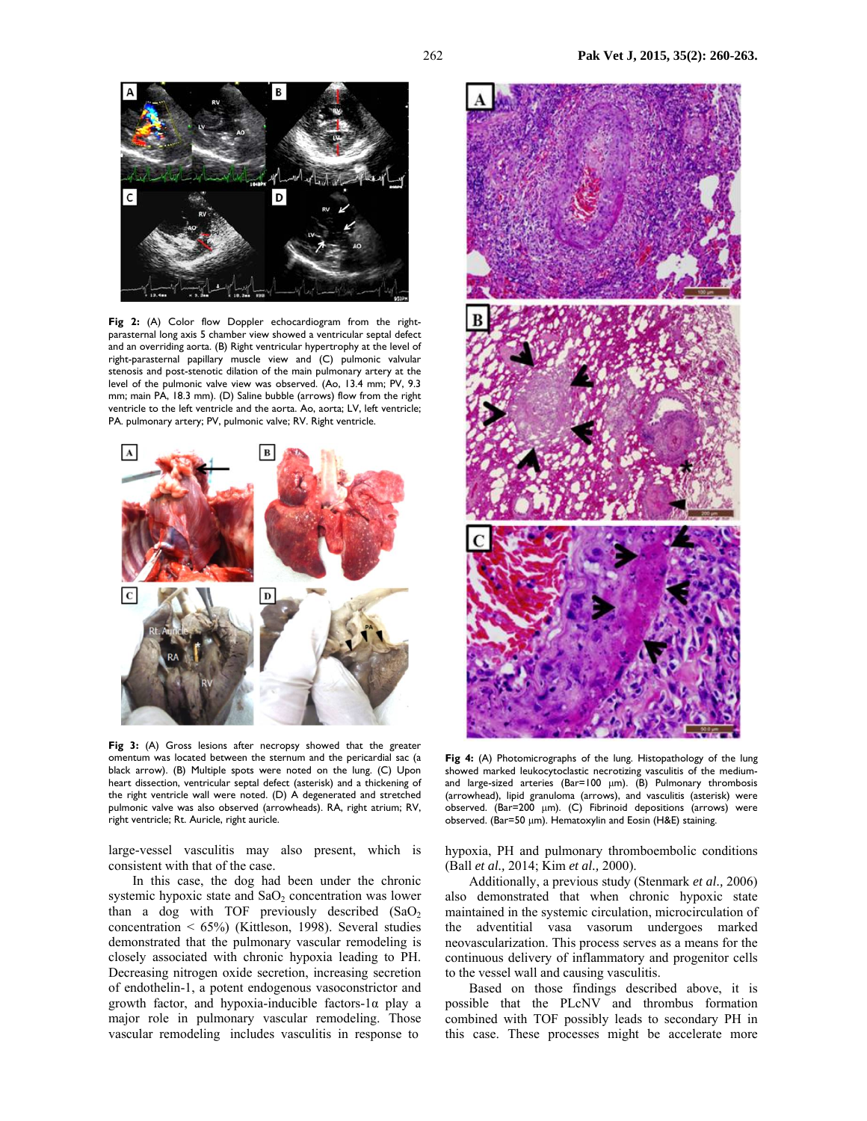

Fig 2: (A) Color flow Doppler echocardiogram from the rightparasternal long axis 5 chamber view showed a ventricular septal defect and an overriding aorta. (B) Right ventricular hypertrophy at the level of right-parasternal papillary muscle view and (C) pulmonic valvular stenosis and post-stenotic dilation of the main pulmonary artery at the level of the pulmonic valve view was observed. (Ao, 13.4 mm; PV, 9.3 mm; main PA, 18.3 mm). (D) Saline bubble (arrows) flow from the right ventricle to the left ventricle and the aorta. Ao, aorta; LV, left ventricle; PA. pulmonary artery; PV, pulmonic valve; RV. Right ventricle.



**Fig 3:** (A) Gross lesions after necropsy showed that the greater omentum was located between the sternum and the pericardial sac (a black arrow). (B) Multiple spots were noted on the lung. (C) Upon heart dissection, ventricular septal defect (asterisk) and a thickening of the right ventricle wall were noted. (D) A degenerated and stretched pulmonic valve was also observed (arrowheads). RA, right atrium; RV, right ventricle; Rt. Auricle, right auricle.

large-vessel vasculitis may also present, which is consistent with that of the case.

In this case, the dog had been under the chronic systemic hypoxic state and  $SaO<sub>2</sub>$  concentration was lower than a dog with TOF previously described  $(SaO<sub>2</sub>)$ concentration < 65%) (Kittleson, 1998). Several studies demonstrated that the pulmonary vascular remodeling is closely associated with chronic hypoxia leading to PH. Decreasing nitrogen oxide secretion, increasing secretion of endothelin-1, a potent endogenous vasoconstrictor and growth factor, and hypoxia-inducible factors-1α play a major role in pulmonary vascular remodeling. Those vascular remodeling includes vasculitis in response to



**Fig 4:** (A) Photomicrographs of the lung. Histopathology of the lung showed marked leukocytoclastic necrotizing vasculitis of the mediumand large-sized arteries (Bar=100 µm). (B) Pulmonary thrombosis (arrowhead), lipid granuloma (arrows), and vasculitis (asterisk) were observed. (Bar=200 µm). (C) Fibrinoid depositions (arrows) were observed. (Bar=50 µm). Hematoxylin and Eosin (H&E) staining.

hypoxia, PH and pulmonary thromboembolic conditions (Ball *et al.,* 2014; Kim *et al.,* 2000).

Additionally, a previous study (Stenmark *et al.,* 2006) also demonstrated that when chronic hypoxic state maintained in the systemic circulation, microcirculation of the adventitial vasa vasorum undergoes marked neovascularization. This process serves as a means for the continuous delivery of inflammatory and progenitor cells to the vessel wall and causing vasculitis.

Based on those findings described above, it is possible that the PLcNV and thrombus formation combined with TOF possibly leads to secondary PH in this case. These processes might be accelerate more